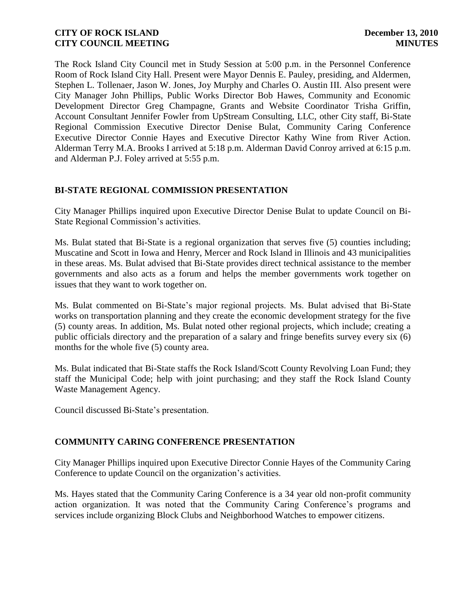The Rock Island City Council met in Study Session at 5:00 p.m. in the Personnel Conference Room of Rock Island City Hall. Present were Mayor Dennis E. Pauley, presiding, and Aldermen, Stephen L. Tollenaer, Jason W. Jones, Joy Murphy and Charles O. Austin III. Also present were City Manager John Phillips, Public Works Director Bob Hawes, Community and Economic Development Director Greg Champagne, Grants and Website Coordinator Trisha Griffin, Account Consultant Jennifer Fowler from UpStream Consulting, LLC, other City staff, Bi-State Regional Commission Executive Director Denise Bulat, Community Caring Conference Executive Director Connie Hayes and Executive Director Kathy Wine from River Action. Alderman Terry M.A. Brooks I arrived at 5:18 p.m. Alderman David Conroy arrived at 6:15 p.m. and Alderman P.J. Foley arrived at 5:55 p.m.

# **BI-STATE REGIONAL COMMISSION PRESENTATION**

City Manager Phillips inquired upon Executive Director Denise Bulat to update Council on Bi-State Regional Commission's activities.

Ms. Bulat stated that Bi-State is a regional organization that serves five (5) counties including; Muscatine and Scott in Iowa and Henry, Mercer and Rock Island in Illinois and 43 municipalities in these areas. Ms. Bulat advised that Bi-State provides direct technical assistance to the member governments and also acts as a forum and helps the member governments work together on issues that they want to work together on.

Ms. Bulat commented on Bi-State's major regional projects. Ms. Bulat advised that Bi-State works on transportation planning and they create the economic development strategy for the five (5) county areas. In addition, Ms. Bulat noted other regional projects, which include; creating a public officials directory and the preparation of a salary and fringe benefits survey every six (6) months for the whole five (5) county area.

Ms. Bulat indicated that Bi-State staffs the Rock Island/Scott County Revolving Loan Fund; they staff the Municipal Code; help with joint purchasing; and they staff the Rock Island County Waste Management Agency.

Council discussed Bi-State's presentation.

# **COMMUNITY CARING CONFERENCE PRESENTATION**

City Manager Phillips inquired upon Executive Director Connie Hayes of the Community Caring Conference to update Council on the organization's activities.

Ms. Hayes stated that the Community Caring Conference is a 34 year old non-profit community action organization. It was noted that the Community Caring Conference's programs and services include organizing Block Clubs and Neighborhood Watches to empower citizens.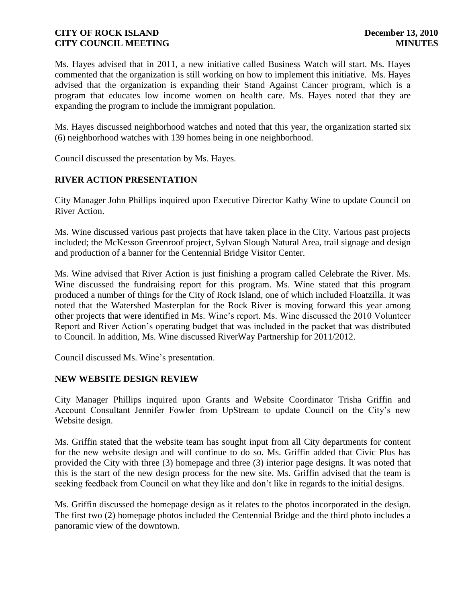Ms. Hayes advised that in 2011, a new initiative called Business Watch will start. Ms. Hayes commented that the organization is still working on how to implement this initiative. Ms. Hayes advised that the organization is expanding their Stand Against Cancer program, which is a program that educates low income women on health care. Ms. Hayes noted that they are expanding the program to include the immigrant population.

Ms. Hayes discussed neighborhood watches and noted that this year, the organization started six (6) neighborhood watches with 139 homes being in one neighborhood.

Council discussed the presentation by Ms. Hayes.

# **RIVER ACTION PRESENTATION**

City Manager John Phillips inquired upon Executive Director Kathy Wine to update Council on River Action.

Ms. Wine discussed various past projects that have taken place in the City. Various past projects included; the McKesson Greenroof project, Sylvan Slough Natural Area, trail signage and design and production of a banner for the Centennial Bridge Visitor Center.

Ms. Wine advised that River Action is just finishing a program called Celebrate the River. Ms. Wine discussed the fundraising report for this program. Ms. Wine stated that this program produced a number of things for the City of Rock Island, one of which included Floatzilla. It was noted that the Watershed Masterplan for the Rock River is moving forward this year among other projects that were identified in Ms. Wine's report. Ms. Wine discussed the 2010 Volunteer Report and River Action's operating budget that was included in the packet that was distributed to Council. In addition, Ms. Wine discussed RiverWay Partnership for 2011/2012.

Council discussed Ms. Wine's presentation.

### **NEW WEBSITE DESIGN REVIEW**

City Manager Phillips inquired upon Grants and Website Coordinator Trisha Griffin and Account Consultant Jennifer Fowler from UpStream to update Council on the City's new Website design.

Ms. Griffin stated that the website team has sought input from all City departments for content for the new website design and will continue to do so. Ms. Griffin added that Civic Plus has provided the City with three (3) homepage and three (3) interior page designs. It was noted that this is the start of the new design process for the new site. Ms. Griffin advised that the team is seeking feedback from Council on what they like and don't like in regards to the initial designs.

Ms. Griffin discussed the homepage design as it relates to the photos incorporated in the design. The first two (2) homepage photos included the Centennial Bridge and the third photo includes a panoramic view of the downtown.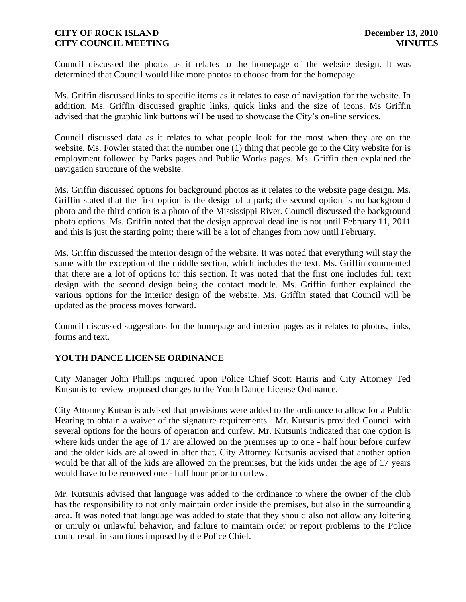Council discussed the photos as it relates to the homepage of the website design. It was determined that Council would like more photos to choose from for the homepage.

Ms. Griffin discussed links to specific items as it relates to ease of navigation for the website. In addition, Ms. Griffin discussed graphic links, quick links and the size of icons. Ms Griffin advised that the graphic link buttons will be used to showcase the City's on-line services.

Council discussed data as it relates to what people look for the most when they are on the website. Ms. Fowler stated that the number one (1) thing that people go to the City website for is employment followed by Parks pages and Public Works pages. Ms. Griffin then explained the navigation structure of the website.

Ms. Griffin discussed options for background photos as it relates to the website page design. Ms. Griffin stated that the first option is the design of a park; the second option is no background photo and the third option is a photo of the Mississippi River. Council discussed the background photo options. Ms. Griffin noted that the design approval deadline is not until February 11, 2011 and this is just the starting point; there will be a lot of changes from now until February.

Ms. Griffin discussed the interior design of the website. It was noted that everything will stay the same with the exception of the middle section, which includes the text. Ms. Griffin commented that there are a lot of options for this section. It was noted that the first one includes full text design with the second design being the contact module. Ms. Griffin further explained the various options for the interior design of the website. Ms. Griffin stated that Council will be updated as the process moves forward.

Council discussed suggestions for the homepage and interior pages as it relates to photos, links, forms and text.

# **YOUTH DANCE LICENSE ORDINANCE**

City Manager John Phillips inquired upon Police Chief Scott Harris and City Attorney Ted Kutsunis to review proposed changes to the Youth Dance License Ordinance.

City Attorney Kutsunis advised that provisions were added to the ordinance to allow for a Public Hearing to obtain a waiver of the signature requirements. Mr. Kutsunis provided Council with several options for the hours of operation and curfew. Mr. Kutsunis indicated that one option is where kids under the age of 17 are allowed on the premises up to one - half hour before curfew and the older kids are allowed in after that. City Attorney Kutsunis advised that another option would be that all of the kids are allowed on the premises, but the kids under the age of 17 years would have to be removed one - half hour prior to curfew.

Mr. Kutsunis advised that language was added to the ordinance to where the owner of the club has the responsibility to not only maintain order inside the premises, but also in the surrounding area. It was noted that language was added to state that they should also not allow any loitering or unruly or unlawful behavior, and failure to maintain order or report problems to the Police could result in sanctions imposed by the Police Chief.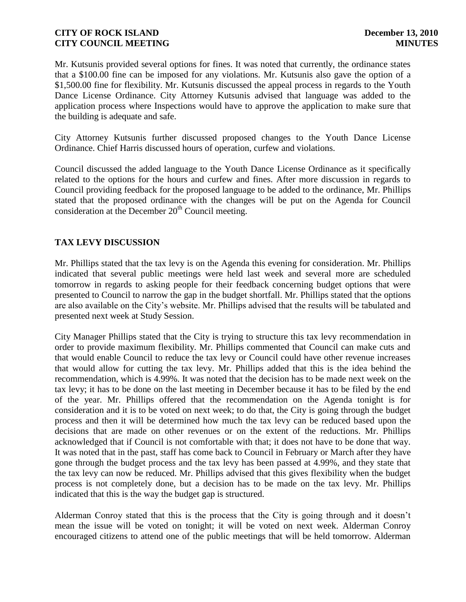Mr. Kutsunis provided several options for fines. It was noted that currently, the ordinance states that a \$100.00 fine can be imposed for any violations. Mr. Kutsunis also gave the option of a \$1,500.00 fine for flexibility. Mr. Kutsunis discussed the appeal process in regards to the Youth Dance License Ordinance. City Attorney Kutsunis advised that language was added to the application process where Inspections would have to approve the application to make sure that the building is adequate and safe.

City Attorney Kutsunis further discussed proposed changes to the Youth Dance License Ordinance. Chief Harris discussed hours of operation, curfew and violations.

Council discussed the added language to the Youth Dance License Ordinance as it specifically related to the options for the hours and curfew and fines. After more discussion in regards to Council providing feedback for the proposed language to be added to the ordinance, Mr. Phillips stated that the proposed ordinance with the changes will be put on the Agenda for Council consideration at the December  $20<sup>th</sup>$  Council meeting.

# **TAX LEVY DISCUSSION**

Mr. Phillips stated that the tax levy is on the Agenda this evening for consideration. Mr. Phillips indicated that several public meetings were held last week and several more are scheduled tomorrow in regards to asking people for their feedback concerning budget options that were presented to Council to narrow the gap in the budget shortfall. Mr. Phillips stated that the options are also available on the City's website. Mr. Phillips advised that the results will be tabulated and presented next week at Study Session.

City Manager Phillips stated that the City is trying to structure this tax levy recommendation in order to provide maximum flexibility. Mr. Phillips commented that Council can make cuts and that would enable Council to reduce the tax levy or Council could have other revenue increases that would allow for cutting the tax levy. Mr. Phillips added that this is the idea behind the recommendation, which is 4.99%. It was noted that the decision has to be made next week on the tax levy; it has to be done on the last meeting in December because it has to be filed by the end of the year. Mr. Phillips offered that the recommendation on the Agenda tonight is for consideration and it is to be voted on next week; to do that, the City is going through the budget process and then it will be determined how much the tax levy can be reduced based upon the decisions that are made on other revenues or on the extent of the reductions. Mr. Phillips acknowledged that if Council is not comfortable with that; it does not have to be done that way. It was noted that in the past, staff has come back to Council in February or March after they have gone through the budget process and the tax levy has been passed at 4.99%, and they state that the tax levy can now be reduced. Mr. Phillips advised that this gives flexibility when the budget process is not completely done, but a decision has to be made on the tax levy. Mr. Phillips indicated that this is the way the budget gap is structured.

Alderman Conroy stated that this is the process that the City is going through and it doesn't mean the issue will be voted on tonight; it will be voted on next week. Alderman Conroy encouraged citizens to attend one of the public meetings that will be held tomorrow. Alderman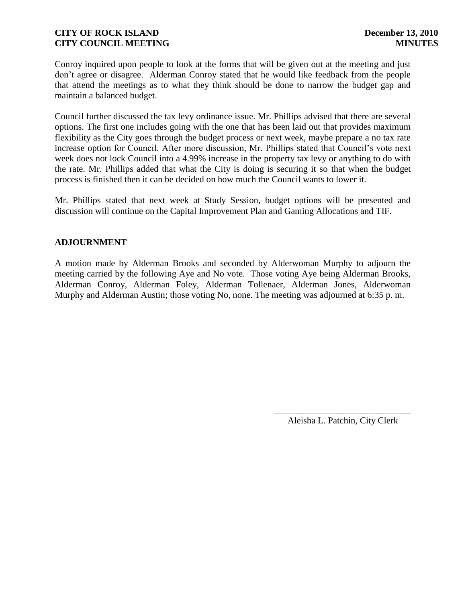Conroy inquired upon people to look at the forms that will be given out at the meeting and just don't agree or disagree. Alderman Conroy stated that he would like feedback from the people that attend the meetings as to what they think should be done to narrow the budget gap and maintain a balanced budget.

Council further discussed the tax levy ordinance issue. Mr. Phillips advised that there are several options. The first one includes going with the one that has been laid out that provides maximum flexibility as the City goes through the budget process or next week, maybe prepare a no tax rate increase option for Council. After more discussion, Mr. Phillips stated that Council's vote next week does not lock Council into a 4.99% increase in the property tax levy or anything to do with the rate. Mr. Phillips added that what the City is doing is securing it so that when the budget process is finished then it can be decided on how much the Council wants to lower it.

Mr. Phillips stated that next week at Study Session, budget options will be presented and discussion will continue on the Capital Improvement Plan and Gaming Allocations and TIF.

# **ADJOURNMENT**

A motion made by Alderman Brooks and seconded by Alderwoman Murphy to adjourn the meeting carried by the following Aye and No vote. Those voting Aye being Alderman Brooks, Alderman Conroy, Alderman Foley, Alderman Tollenaer, Alderman Jones, Alderwoman Murphy and Alderman Austin; those voting No, none. The meeting was adjourned at 6:35 p. m.

> \_\_\_\_\_\_\_\_\_\_\_\_\_\_\_\_\_\_\_\_\_\_\_\_\_\_\_\_\_\_ Aleisha L. Patchin, City Clerk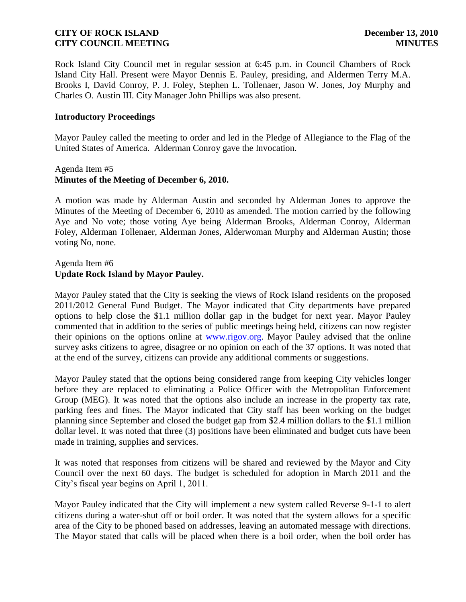Rock Island City Council met in regular session at 6:45 p.m. in Council Chambers of Rock Island City Hall. Present were Mayor Dennis E. Pauley, presiding, and Aldermen Terry M.A. Brooks I, David Conroy, P. J. Foley, Stephen L. Tollenaer, Jason W. Jones, Joy Murphy and Charles O. Austin III. City Manager John Phillips was also present.

#### **Introductory Proceedings**

Mayor Pauley called the meeting to order and led in the Pledge of Allegiance to the Flag of the United States of America. Alderman Conroy gave the Invocation.

#### Agenda Item #5 **Minutes of the Meeting of December 6, 2010.**

A motion was made by Alderman Austin and seconded by Alderman Jones to approve the Minutes of the Meeting of December 6, 2010 as amended. The motion carried by the following Aye and No vote; those voting Aye being Alderman Brooks, Alderman Conroy, Alderman Foley, Alderman Tollenaer, Alderman Jones, Alderwoman Murphy and Alderman Austin; those voting No, none.

### Agenda Item #6 **Update Rock Island by Mayor Pauley.**

Mayor Pauley stated that the City is seeking the views of Rock Island residents on the proposed 2011/2012 General Fund Budget. The Mayor indicated that City departments have prepared options to help close the \$1.1 million dollar gap in the budget for next year. Mayor Pauley commented that in addition to the series of public meetings being held, citizens can now register their opinions on the options online at [www.rigov.org.](http://www.rigov.org/) Mayor Pauley advised that the online survey asks citizens to agree, disagree or no opinion on each of the 37 options. It was noted that at the end of the survey, citizens can provide any additional comments or suggestions.

Mayor Pauley stated that the options being considered range from keeping City vehicles longer before they are replaced to eliminating a Police Officer with the Metropolitan Enforcement Group (MEG). It was noted that the options also include an increase in the property tax rate, parking fees and fines. The Mayor indicated that City staff has been working on the budget planning since September and closed the budget gap from \$2.4 million dollars to the \$1.1 million dollar level. It was noted that three (3) positions have been eliminated and budget cuts have been made in training, supplies and services.

It was noted that responses from citizens will be shared and reviewed by the Mayor and City Council over the next 60 days. The budget is scheduled for adoption in March 2011 and the City's fiscal year begins on April 1, 2011.

Mayor Pauley indicated that the City will implement a new system called Reverse 9-1-1 to alert citizens during a water-shut off or boil order. It was noted that the system allows for a specific area of the City to be phoned based on addresses, leaving an automated message with directions. The Mayor stated that calls will be placed when there is a boil order, when the boil order has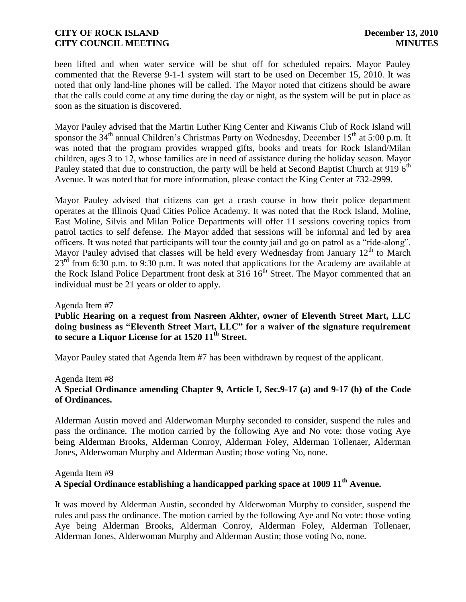been lifted and when water service will be shut off for scheduled repairs. Mayor Pauley commented that the Reverse 9-1-1 system will start to be used on December 15, 2010. It was noted that only land-line phones will be called. The Mayor noted that citizens should be aware that the calls could come at any time during the day or night, as the system will be put in place as soon as the situation is discovered.

Mayor Pauley advised that the Martin Luther King Center and Kiwanis Club of Rock Island will sponsor the  $34<sup>th</sup>$  annual Children's Christmas Party on Wednesday, December  $15<sup>th</sup>$  at 5:00 p.m. It was noted that the program provides wrapped gifts, books and treats for Rock Island/Milan children, ages 3 to 12, whose families are in need of assistance during the holiday season. Mayor Pauley stated that due to construction, the party will be held at Second Baptist Church at 919  $6<sup>th</sup>$ Avenue. It was noted that for more information, please contact the King Center at 732-2999.

Mayor Pauley advised that citizens can get a crash course in how their police department operates at the Illinois Quad Cities Police Academy. It was noted that the Rock Island, Moline, East Moline, Silvis and Milan Police Departments will offer 11 sessions covering topics from patrol tactics to self defense. The Mayor added that sessions will be informal and led by area officers. It was noted that participants will tour the county jail and go on patrol as a "ride-along". Mayor Pauley advised that classes will be held every Wednesday from January  $12<sup>th</sup>$  to March  $23<sup>rd</sup>$  from 6:30 p.m. to 9:30 p.m. It was noted that applications for the Academy are available at the Rock Island Police Department front desk at  $316^{16}$  Street. The Mayor commented that an individual must be 21 years or older to apply.

#### Agenda Item #7

**Public Hearing on a request from Nasreen Akhter, owner of Eleventh Street Mart, LLC doing business as "Eleventh Street Mart, LLC" for a waiver of the signature requirement to secure a Liquor License for at 1520 11th Street.** 

Mayor Pauley stated that Agenda Item #7 has been withdrawn by request of the applicant.

#### Agenda Item #8

# **A Special Ordinance amending Chapter 9, Article I, Sec.9-17 (a) and 9-17 (h) of the Code of Ordinances.**

Alderman Austin moved and Alderwoman Murphy seconded to consider, suspend the rules and pass the ordinance. The motion carried by the following Aye and No vote: those voting Aye being Alderman Brooks, Alderman Conroy, Alderman Foley, Alderman Tollenaer, Alderman Jones, Alderwoman Murphy and Alderman Austin; those voting No, none.

# Agenda Item #9 **A Special Ordinance establishing a handicapped parking space at 1009 11th Avenue.**

It was moved by Alderman Austin, seconded by Alderwoman Murphy to consider, suspend the rules and pass the ordinance. The motion carried by the following Aye and No vote: those voting Aye being Alderman Brooks, Alderman Conroy, Alderman Foley, Alderman Tollenaer, Alderman Jones, Alderwoman Murphy and Alderman Austin; those voting No, none.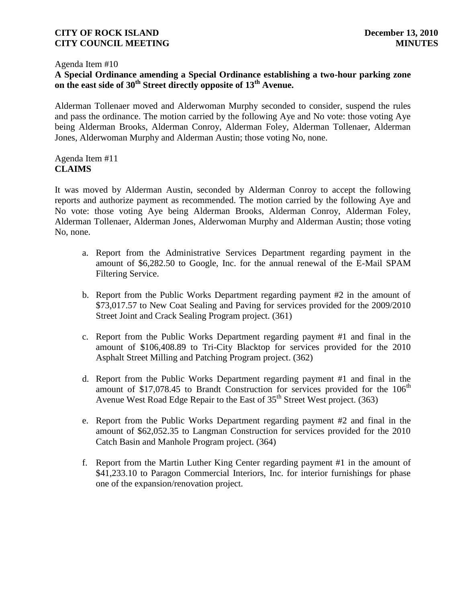#### Agenda Item #10

# **A Special Ordinance amending a Special Ordinance establishing a two-hour parking zone on the east side of 30th Street directly opposite of 13th Avenue.**

Alderman Tollenaer moved and Alderwoman Murphy seconded to consider, suspend the rules and pass the ordinance. The motion carried by the following Aye and No vote: those voting Aye being Alderman Brooks, Alderman Conroy, Alderman Foley, Alderman Tollenaer, Alderman Jones, Alderwoman Murphy and Alderman Austin; those voting No, none.

### Agenda Item #11 **CLAIMS**

It was moved by Alderman Austin, seconded by Alderman Conroy to accept the following reports and authorize payment as recommended. The motion carried by the following Aye and No vote: those voting Aye being Alderman Brooks, Alderman Conroy, Alderman Foley, Alderman Tollenaer, Alderman Jones, Alderwoman Murphy and Alderman Austin; those voting No, none.

- a. Report from the Administrative Services Department regarding payment in the amount of \$6,282.50 to Google, Inc. for the annual renewal of the E-Mail SPAM Filtering Service.
- b. Report from the Public Works Department regarding payment #2 in the amount of \$73,017.57 to New Coat Sealing and Paving for services provided for the 2009/2010 Street Joint and Crack Sealing Program project. (361)
- c. Report from the Public Works Department regarding payment #1 and final in the amount of \$106,408.89 to Tri-City Blacktop for services provided for the 2010 Asphalt Street Milling and Patching Program project. (362)
- d. Report from the Public Works Department regarding payment #1 and final in the amount of \$17,078.45 to Brandt Construction for services provided for the  $106<sup>th</sup>$ Avenue West Road Edge Repair to the East of  $35<sup>th</sup>$  Street West project. (363)
- e. Report from the Public Works Department regarding payment #2 and final in the amount of \$62,052.35 to Langman Construction for services provided for the 2010 Catch Basin and Manhole Program project. (364)
- f. Report from the Martin Luther King Center regarding payment #1 in the amount of \$41,233.10 to Paragon Commercial Interiors, Inc. for interior furnishings for phase one of the expansion/renovation project.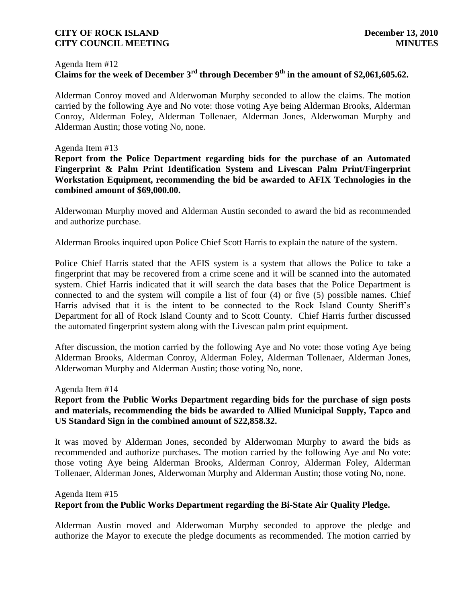#### Agenda Item #12

# **Claims for the week of December 3rd through December 9th in the amount of \$2,061,605.62.**

Alderman Conroy moved and Alderwoman Murphy seconded to allow the claims. The motion carried by the following Aye and No vote: those voting Aye being Alderman Brooks, Alderman Conroy, Alderman Foley, Alderman Tollenaer, Alderman Jones, Alderwoman Murphy and Alderman Austin; those voting No, none.

#### Agenda Item #13

**Report from the Police Department regarding bids for the purchase of an Automated Fingerprint & Palm Print Identification System and Livescan Palm Print/Fingerprint Workstation Equipment, recommending the bid be awarded to AFIX Technologies in the combined amount of \$69,000.00.**

Alderwoman Murphy moved and Alderman Austin seconded to award the bid as recommended and authorize purchase.

Alderman Brooks inquired upon Police Chief Scott Harris to explain the nature of the system.

Police Chief Harris stated that the AFIS system is a system that allows the Police to take a fingerprint that may be recovered from a crime scene and it will be scanned into the automated system. Chief Harris indicated that it will search the data bases that the Police Department is connected to and the system will compile a list of four (4) or five (5) possible names. Chief Harris advised that it is the intent to be connected to the Rock Island County Sheriff's Department for all of Rock Island County and to Scott County. Chief Harris further discussed the automated fingerprint system along with the Livescan palm print equipment.

After discussion, the motion carried by the following Aye and No vote: those voting Aye being Alderman Brooks, Alderman Conroy, Alderman Foley, Alderman Tollenaer, Alderman Jones, Alderwoman Murphy and Alderman Austin; those voting No, none.

#### Agenda Item #14

# **Report from the Public Works Department regarding bids for the purchase of sign posts and materials, recommending the bids be awarded to Allied Municipal Supply, Tapco and US Standard Sign in the combined amount of \$22,858.32.**

It was moved by Alderman Jones, seconded by Alderwoman Murphy to award the bids as recommended and authorize purchases. The motion carried by the following Aye and No vote: those voting Aye being Alderman Brooks, Alderman Conroy, Alderman Foley, Alderman Tollenaer, Alderman Jones, Alderwoman Murphy and Alderman Austin; those voting No, none.

#### Agenda Item #15

### **Report from the Public Works Department regarding the Bi-State Air Quality Pledge.**

Alderman Austin moved and Alderwoman Murphy seconded to approve the pledge and authorize the Mayor to execute the pledge documents as recommended. The motion carried by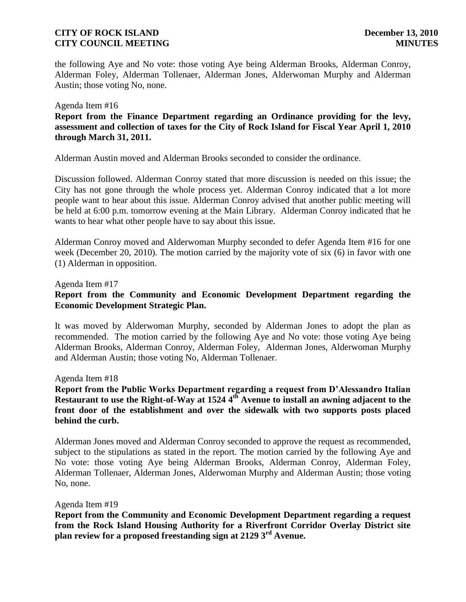the following Aye and No vote: those voting Aye being Alderman Brooks, Alderman Conroy, Alderman Foley, Alderman Tollenaer, Alderman Jones, Alderwoman Murphy and Alderman Austin; those voting No, none.

#### Agenda Item #16

**Report from the Finance Department regarding an Ordinance providing for the levy, assessment and collection of taxes for the City of Rock Island for Fiscal Year April 1, 2010 through March 31, 2011.**

Alderman Austin moved and Alderman Brooks seconded to consider the ordinance.

Discussion followed. Alderman Conroy stated that more discussion is needed on this issue; the City has not gone through the whole process yet. Alderman Conroy indicated that a lot more people want to hear about this issue. Alderman Conroy advised that another public meeting will be held at 6:00 p.m. tomorrow evening at the Main Library. Alderman Conroy indicated that he wants to hear what other people have to say about this issue.

Alderman Conroy moved and Alderwoman Murphy seconded to defer Agenda Item #16 for one week (December 20, 2010). The motion carried by the majority vote of six (6) in favor with one (1) Alderman in opposition.

#### Agenda Item #17

# **Report from the Community and Economic Development Department regarding the Economic Development Strategic Plan.**

It was moved by Alderwoman Murphy, seconded by Alderman Jones to adopt the plan as recommended. The motion carried by the following Aye and No vote: those voting Aye being Alderman Brooks, Alderman Conroy, Alderman Foley, Alderman Jones, Alderwoman Murphy and Alderman Austin; those voting No, Alderman Tollenaer.

#### Agenda Item #18

# **Report from the Public Works Department regarding a request from D'Alessandro Italian Restaurant to use the Right-of-Way at 1524 4th Avenue to install an awning adjacent to the front door of the establishment and over the sidewalk with two supports posts placed behind the curb.**

Alderman Jones moved and Alderman Conroy seconded to approve the request as recommended, subject to the stipulations as stated in the report. The motion carried by the following Aye and No vote: those voting Aye being Alderman Brooks, Alderman Conroy, Alderman Foley, Alderman Tollenaer, Alderman Jones, Alderwoman Murphy and Alderman Austin; those voting No, none.

#### Agenda Item #19

**Report from the Community and Economic Development Department regarding a request from the Rock Island Housing Authority for a Riverfront Corridor Overlay District site plan review for a proposed freestanding sign at 2129 3rd Avenue.**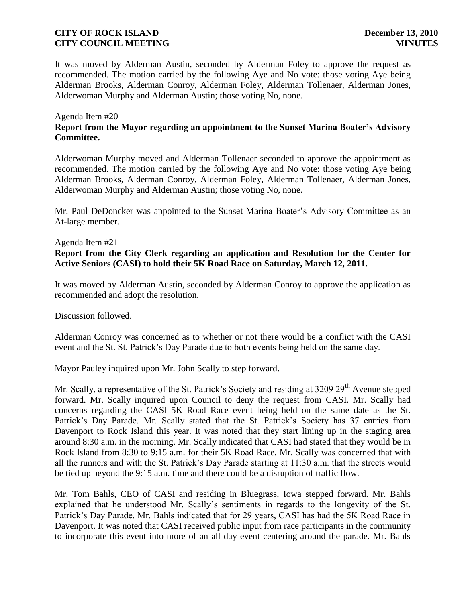It was moved by Alderman Austin, seconded by Alderman Foley to approve the request as recommended. The motion carried by the following Aye and No vote: those voting Aye being Alderman Brooks, Alderman Conroy, Alderman Foley, Alderman Tollenaer, Alderman Jones, Alderwoman Murphy and Alderman Austin; those voting No, none.

### Agenda Item #20 **Report from the Mayor regarding an appointment to the Sunset Marina Boater's Advisory Committee.**

Alderwoman Murphy moved and Alderman Tollenaer seconded to approve the appointment as recommended. The motion carried by the following Aye and No vote: those voting Aye being Alderman Brooks, Alderman Conroy, Alderman Foley, Alderman Tollenaer, Alderman Jones, Alderwoman Murphy and Alderman Austin; those voting No, none.

Mr. Paul DeDoncker was appointed to the Sunset Marina Boater's Advisory Committee as an At-large member.

# Agenda Item #21 **Report from the City Clerk regarding an application and Resolution for the Center for Active Seniors (CASI) to hold their 5K Road Race on Saturday, March 12, 2011.**

It was moved by Alderman Austin, seconded by Alderman Conroy to approve the application as recommended and adopt the resolution.

Discussion followed.

Alderman Conroy was concerned as to whether or not there would be a conflict with the CASI event and the St. St. Patrick's Day Parade due to both events being held on the same day.

Mayor Pauley inquired upon Mr. John Scally to step forward.

Mr. Scally, a representative of the St. Patrick's Society and residing at  $3209\ 29<sup>th</sup>$  Avenue stepped forward. Mr. Scally inquired upon Council to deny the request from CASI. Mr. Scally had concerns regarding the CASI 5K Road Race event being held on the same date as the St. Patrick's Day Parade. Mr. Scally stated that the St. Patrick's Society has 37 entries from Davenport to Rock Island this year. It was noted that they start lining up in the staging area around 8:30 a.m. in the morning. Mr. Scally indicated that CASI had stated that they would be in Rock Island from 8:30 to 9:15 a.m. for their 5K Road Race. Mr. Scally was concerned that with all the runners and with the St. Patrick's Day Parade starting at 11:30 a.m. that the streets would be tied up beyond the 9:15 a.m. time and there could be a disruption of traffic flow.

Mr. Tom Bahls, CEO of CASI and residing in Bluegrass, Iowa stepped forward. Mr. Bahls explained that he understood Mr. Scally's sentiments in regards to the longevity of the St. Patrick's Day Parade. Mr. Bahls indicated that for 29 years, CASI has had the 5K Road Race in Davenport. It was noted that CASI received public input from race participants in the community to incorporate this event into more of an all day event centering around the parade. Mr. Bahls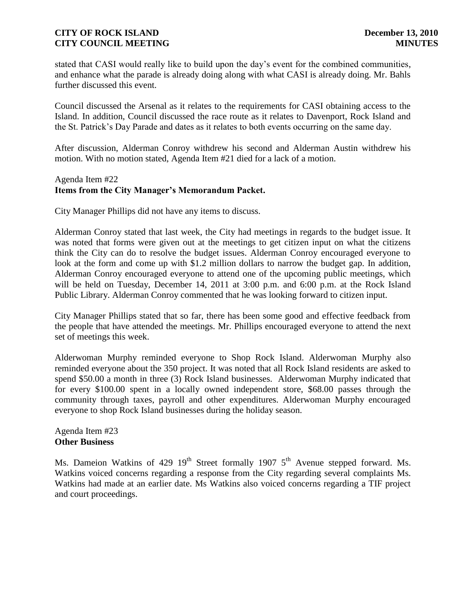stated that CASI would really like to build upon the day's event for the combined communities, and enhance what the parade is already doing along with what CASI is already doing. Mr. Bahls further discussed this event.

Council discussed the Arsenal as it relates to the requirements for CASI obtaining access to the Island. In addition, Council discussed the race route as it relates to Davenport, Rock Island and the St. Patrick's Day Parade and dates as it relates to both events occurring on the same day.

After discussion, Alderman Conroy withdrew his second and Alderman Austin withdrew his motion. With no motion stated, Agenda Item #21 died for a lack of a motion.

# Agenda Item #22 **Items from the City Manager's Memorandum Packet.**

City Manager Phillips did not have any items to discuss.

Alderman Conroy stated that last week, the City had meetings in regards to the budget issue. It was noted that forms were given out at the meetings to get citizen input on what the citizens think the City can do to resolve the budget issues. Alderman Conroy encouraged everyone to look at the form and come up with \$1.2 million dollars to narrow the budget gap. In addition, Alderman Conroy encouraged everyone to attend one of the upcoming public meetings, which will be held on Tuesday, December 14, 2011 at 3:00 p.m. and 6:00 p.m. at the Rock Island Public Library. Alderman Conroy commented that he was looking forward to citizen input.

City Manager Phillips stated that so far, there has been some good and effective feedback from the people that have attended the meetings. Mr. Phillips encouraged everyone to attend the next set of meetings this week.

Alderwoman Murphy reminded everyone to Shop Rock Island. Alderwoman Murphy also reminded everyone about the 350 project. It was noted that all Rock Island residents are asked to spend \$50.00 a month in three (3) Rock Island businesses. Alderwoman Murphy indicated that for every \$100.00 spent in a locally owned independent store, \$68.00 passes through the community through taxes, payroll and other expenditures. Alderwoman Murphy encouraged everyone to shop Rock Island businesses during the holiday season.

#### Agenda Item #23 **Other Business**

Ms. Dameion Watkins of 429  $19<sup>th</sup>$  Street formally 1907  $5<sup>th</sup>$  Avenue stepped forward. Ms. Watkins voiced concerns regarding a response from the City regarding several complaints Ms. Watkins had made at an earlier date. Ms Watkins also voiced concerns regarding a TIF project and court proceedings.